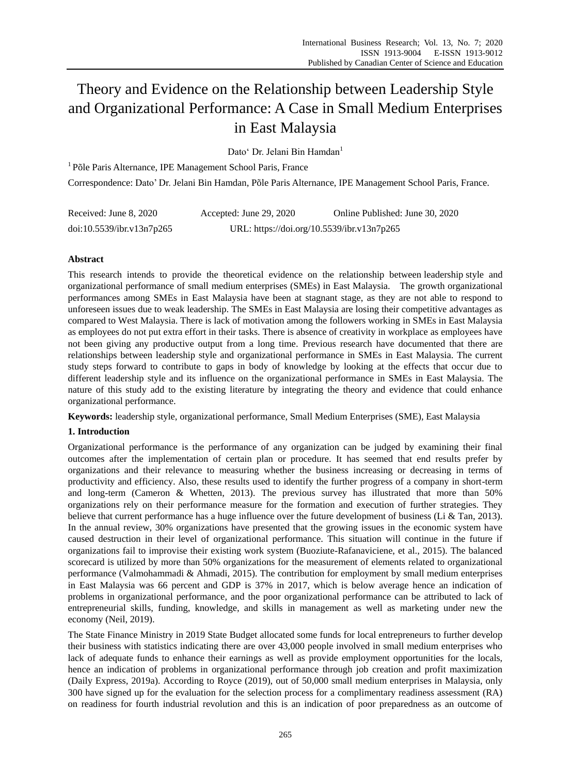# Theory and Evidence on the Relationship between Leadership Style and Organizational Performance: A Case in Small Medium Enterprises in East Malaysia

Dato' Dr. Jelani Bin Hamdan<sup>1</sup>

<sup>1</sup> Põle Paris Alternance, IPE Management School Paris, France Correspondence: Dato' Dr. Jelani Bin Hamdan, Põle Paris Alternance, IPE Management School Paris, France.

| Received: June 8, 2020    | Accepted: June 29, 2020                    | Online Published: June 30, 2020 |
|---------------------------|--------------------------------------------|---------------------------------|
| doi:10.5539/ibr.v13n7p265 | URL: https://doi.org/10.5539/ibr.v13n7p265 |                                 |

# **Abstract**

This research intends to provide the theoretical evidence on the relationship between leadership style and organizational performance of small medium enterprises (SMEs) in East Malaysia. The growth organizational performances among SMEs in East Malaysia have been at stagnant stage, as they are not able to respond to unforeseen issues due to weak leadership. The SMEs in East Malaysia are losing their competitive advantages as compared to West Malaysia. There is lack of motivation among the followers working in SMEs in East Malaysia as employees do not put extra effort in their tasks. There is absence of creativity in workplace as employees have not been giving any productive output from a long time. Previous research have documented that there are relationships between leadership style and organizational performance in SMEs in East Malaysia. The current study steps forward to contribute to gaps in body of knowledge by looking at the effects that occur due to different leadership style and its influence on the organizational performance in SMEs in East Malaysia. The nature of this study add to the existing literature by integrating the theory and evidence that could enhance organizational performance.

**Keywords:** leadership style, organizational performance, Small Medium Enterprises (SME), East Malaysia

# **1. Introduction**

Organizational performance is the performance of any organization can be judged by examining their final outcomes after the implementation of certain plan or procedure. It has seemed that end results prefer by organizations and their relevance to measuring whether the business increasing or decreasing in terms of productivity and efficiency. Also, these results used to identify the further progress of a company in short-term and long-term (Cameron & Whetten, 2013). The previous survey has illustrated that more than 50% organizations rely on their performance measure for the formation and execution of further strategies. They believe that current performance has a huge influence over the future development of business (Li & Tan, 2013). In the annual review, 30% organizations have presented that the growing issues in the economic system have caused destruction in their level of organizational performance. This situation will continue in the future if organizations fail to improvise their existing work system (Buoziute-Rafanaviciene, et al., 2015). The balanced scorecard is utilized by more than 50% organizations for the measurement of elements related to organizational performance (Valmohammadi & Ahmadi, 2015). The contribution for employment by small medium enterprises in East Malaysia was 66 percent and GDP is 37% in 2017, which is below average hence an indication of problems in organizational performance, and the poor organizational performance can be attributed to lack of entrepreneurial skills, funding, knowledge, and skills in management as well as marketing under new the economy (Neil, 2019).

The State Finance Ministry in 2019 State Budget allocated some funds for local entrepreneurs to further develop their business with statistics indicating there are over 43,000 people involved in small medium enterprises who lack of adequate funds to enhance their earnings as well as provide employment opportunities for the locals, hence an indication of problems in organizational performance through job creation and profit maximization (Daily Express, 2019a). According to Royce (2019), out of 50,000 small medium enterprises in Malaysia, only 300 have signed up for the evaluation for the selection process for a complimentary readiness assessment (RA) on readiness for fourth industrial revolution and this is an indication of poor preparedness as an outcome of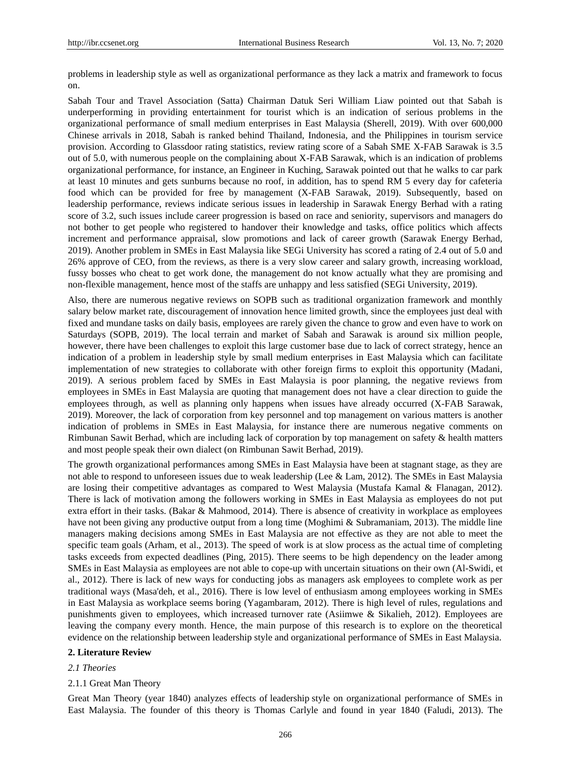problems in leadership style as well as organizational performance as they lack a matrix and framework to focus on.

Sabah Tour and Travel Association (Satta) Chairman Datuk Seri William Liaw pointed out that Sabah is underperforming in providing entertainment for tourist which is an indication of serious problems in the organizational performance of small medium enterprises in East Malaysia (Sherell, 2019). With over 600,000 Chinese arrivals in 2018, Sabah is ranked behind Thailand, Indonesia, and the Philippines in tourism service provision. According to Glassdoor rating statistics, review rating score of a Sabah SME X-FAB Sarawak is 3.5 out of 5.0, with numerous people on the complaining about X-FAB Sarawak, which is an indication of problems organizational performance, for instance, an Engineer in Kuching, Sarawak pointed out that he walks to car park at least 10 minutes and gets sunburns because no roof, in addition, has to spend RM 5 every day for cafeteria food which can be provided for free by management (X-FAB Sarawak, 2019). Subsequently, based on leadership performance, reviews indicate serious issues in leadership in Sarawak Energy Berhad with a rating score of 3.2, such issues include career progression is based on race and seniority, supervisors and managers do not bother to get people who registered to handover their knowledge and tasks, office politics which affects increment and performance appraisal, slow promotions and lack of career growth (Sarawak Energy Berhad, 2019). Another problem in SMEs in East Malaysia like SEGi University has scored a rating of 2.4 out of 5.0 and 26% approve of CEO, from the reviews, as there is a very slow career and salary growth, increasing workload, fussy bosses who cheat to get work done, the management do not know actually what they are promising and non-flexible management, hence most of the staffs are unhappy and less satisfied (SEGi University, 2019).

Also, there are numerous negative reviews on SOPB such as traditional organization framework and monthly salary below market rate, discouragement of innovation hence limited growth, since the employees just deal with fixed and mundane tasks on daily basis, employees are rarely given the chance to grow and even have to work on Saturdays (SOPB, 2019). The local terrain and market of Sabah and Sarawak is around six million people, however, there have been challenges to exploit this large customer base due to lack of correct strategy, hence an indication of a problem in leadership style by small medium enterprises in East Malaysia which can facilitate implementation of new strategies to collaborate with other foreign firms to exploit this opportunity (Madani, 2019). A serious problem faced by SMEs in East Malaysia is poor planning, the negative reviews from employees in SMEs in East Malaysia are quoting that management does not have a clear direction to guide the employees through, as well as planning only happens when issues have already occurred (X-FAB Sarawak, 2019). Moreover, the lack of corporation from key personnel and top management on various matters is another indication of problems in SMEs in East Malaysia, for instance there are numerous negative comments on Rimbunan Sawit Berhad, which are including lack of corporation by top management on safety & health matters and most people speak their own dialect (on Rimbunan Sawit Berhad, 2019).

The growth organizational performances among SMEs in East Malaysia have been at stagnant stage, as they are not able to respond to unforeseen issues due to weak leadership (Lee & Lam, 2012). The SMEs in East Malaysia are losing their competitive advantages as compared to West Malaysia (Mustafa Kamal & Flanagan, 2012). There is lack of motivation among the followers working in SMEs in East Malaysia as employees do not put extra effort in their tasks. (Bakar & Mahmood, 2014). There is absence of creativity in workplace as employees have not been giving any productive output from a long time (Moghimi & Subramaniam, 2013). The middle line managers making decisions among SMEs in East Malaysia are not effective as they are not able to meet the specific team goals (Arham, et al., 2013). The speed of work is at slow process as the actual time of completing tasks exceeds from expected deadlines (Ping, 2015). There seems to be high dependency on the leader among SMEs in East Malaysia as employees are not able to cope-up with uncertain situations on their own (Al-Swidi, et al., 2012). There is lack of new ways for conducting jobs as managers ask employees to complete work as per traditional ways (Masa'deh, et al., 2016). There is low level of enthusiasm among employees working in SMEs in East Malaysia as workplace seems boring (Yagambaram, 2012). There is high level of rules, regulations and punishments given to employees, which increased turnover rate (Asiimwe & Sikalieh, 2012). Employees are leaving the company every month. Hence, the main purpose of this research is to explore on the theoretical evidence on the relationship between leadership style and organizational performance of SMEs in East Malaysia.

## **2. Literature Review**

## *2.1 Theories*

## 2.1.1 Great Man Theory

Great Man Theory (year 1840) analyzes effects of leadership style on organizational performance of SMEs in East Malaysia. The founder of this theory is Thomas Carlyle and found in year 1840 (Faludi, 2013). The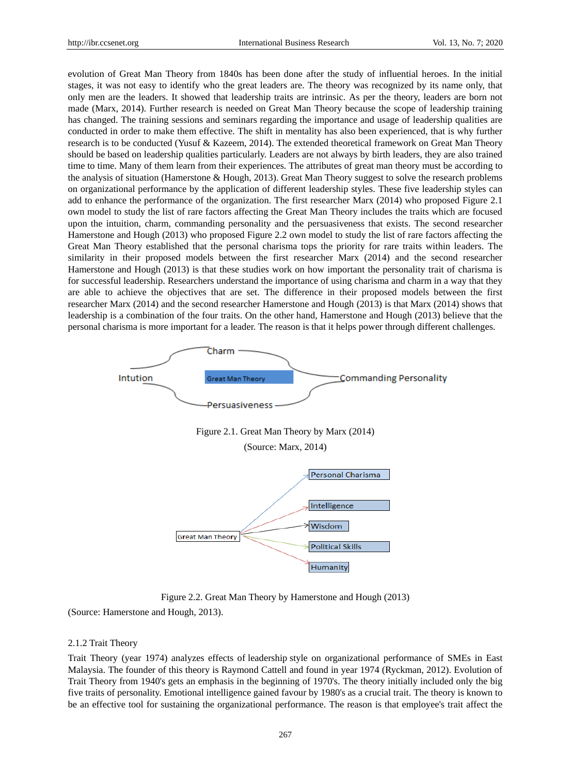evolution of Great Man Theory from 1840s has been done after the study of influential heroes. In the initial stages, it was not easy to identify who the great leaders are. The theory was recognized by its name only, that only men are the leaders. It showed that leadership traits are intrinsic. As per the theory, leaders are born not made (Marx, 2014). Further research is needed on Great Man Theory because the scope of leadership training has changed. The training sessions and seminars regarding the importance and usage of leadership qualities are conducted in order to make them effective. The shift in mentality has also been experienced, that is why further research is to be conducted (Yusuf & Kazeem, 2014). The extended theoretical framework on Great Man Theory should be based on leadership qualities particularly. Leaders are not always by birth leaders, they are also trained time to time. Many of them learn from their experiences. The attributes of great man theory must be according to the analysis of situation (Hamerstone & Hough, 2013). Great Man Theory suggest to solve the research problems on organizational performance by the application of different leadership styles. These five leadership styles can add to enhance the performance of the organization. The first researcher Marx (2014) who proposed Figure 2.1 own model to study the list of rare factors affecting the Great Man Theory includes the traits which are focused upon the intuition, charm, commanding personality and the persuasiveness that exists. The second researcher Hamerstone and Hough (2013) who proposed Figure 2.2 own model to study the list of rare factors affecting the Great Man Theory established that the personal charisma tops the priority for rare traits within leaders. The similarity in their proposed models between the first researcher Marx (2014) and the second researcher Hamerstone and Hough (2013) is that these studies work on how important the personality trait of charisma is for successful leadership. Researchers understand the importance of using charisma and charm in a way that they are able to achieve the objectives that are set. The difference in their proposed models between the first researcher Marx (2014) and the second researcher Hamerstone and Hough (2013) is that Marx (2014) shows that leadership is a combination of the four traits. On the other hand, Hamerstone and Hough (2013) believe that the personal charisma is more important for a leader. The reason is that it helps power through different challenges.



Figure 2.2. Great Man Theory by Hamerstone and Hough (2013)

(Source: Hamerstone and Hough, 2013).

#### 2.1.2 Trait Theory

Trait Theory (year 1974) analyzes effects of leadership style on organizational performance of SMEs in East Malaysia. The founder of this theory is Raymond Cattell and found in year 1974 (Ryckman, 2012). Evolution of Trait Theory from 1940's gets an emphasis in the beginning of 1970's. The theory initially included only the big five traits of personality. Emotional intelligence gained favour by 1980's as a crucial trait. The theory is known to be an effective tool for sustaining the organizational performance. The reason is that employee's trait affect the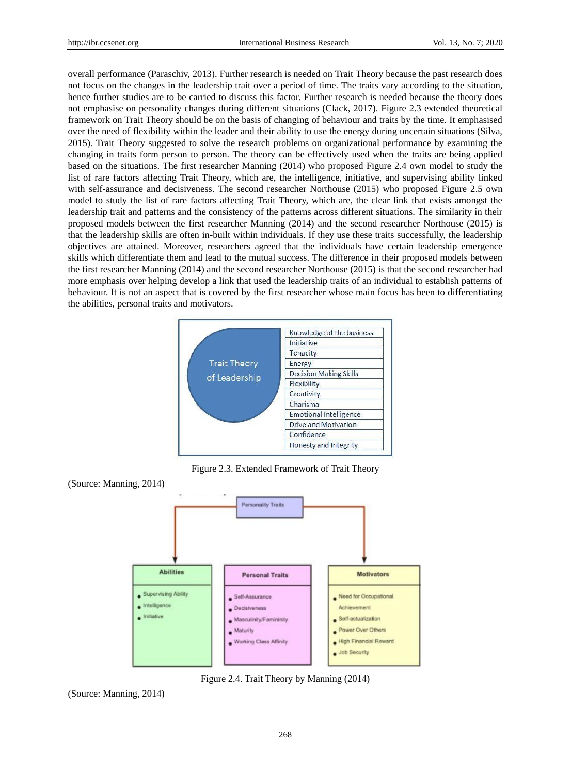overall performance (Paraschiv, 2013). Further research is needed on Trait Theory because the past research does not focus on the changes in the leadership trait over a period of time. The traits vary according to the situation, hence further studies are to be carried to discuss this factor. Further research is needed because the theory does not emphasise on personality changes during different situations (Clack, 2017). Figure 2.3 extended theoretical framework on Trait Theory should be on the basis of changing of behaviour and traits by the time. It emphasised over the need of flexibility within the leader and their ability to use the energy during uncertain situations (Silva, 2015). Trait Theory suggested to solve the research problems on organizational performance by examining the changing in traits form person to person. The theory can be effectively used when the traits are being applied based on the situations. The first researcher Manning (2014) who proposed Figure 2.4 own model to study the list of rare factors affecting Trait Theory, which are, the intelligence, initiative, and supervising ability linked with self-assurance and decisiveness. The second researcher Northouse (2015) who proposed Figure 2.5 own model to study the list of rare factors affecting Trait Theory, which are, the clear link that exists amongst the leadership trait and patterns and the consistency of the patterns across different situations. The similarity in their proposed models between the first researcher Manning (2014) and the second researcher Northouse (2015) is that the leadership skills are often in-built within individuals. If they use these traits successfully, the leadership objectives are attained. Moreover, researchers agreed that the individuals have certain leadership emergence skills which differentiate them and lead to the mutual success. The difference in their proposed models between the first researcher Manning (2014) and the second researcher Northouse (2015) is that the second researcher had more emphasis over helping develop a link that used the leadership traits of an individual to establish patterns of behaviour. It is not an aspect that is covered by the first researcher whose main focus has been to differentiating the abilities, personal traits and motivators.



Figure 2.3. Extended Framework of Trait Theory



Figure 2.4. Trait Theory by Manning (2014)

(Source: Manning, 2014)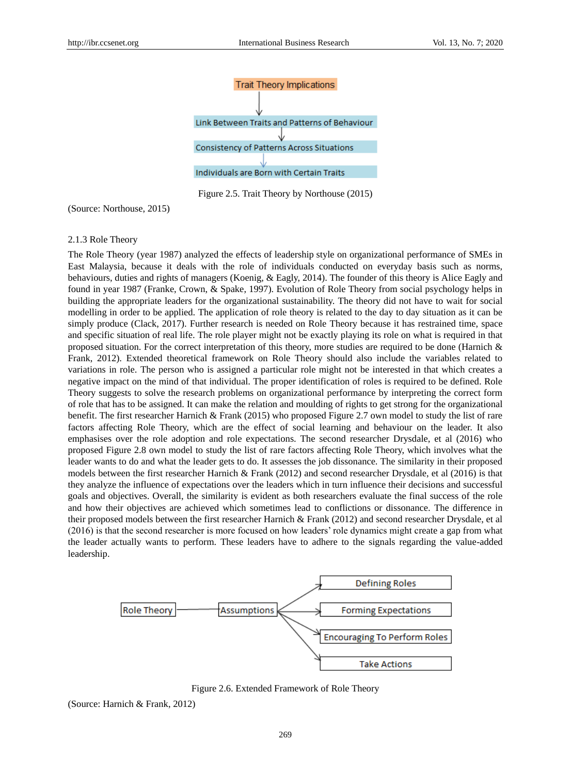

Figure 2.5. Trait Theory by Northouse (2015)

(Source: Northouse, 2015)

## 2.1.3 Role Theory

The Role Theory (year 1987) analyzed the effects of leadership style on organizational performance of SMEs in East Malaysia, because it deals with the role of individuals conducted on everyday basis such as norms, behaviours, duties and rights of managers (Koenig, & Eagly, 2014). The founder of this theory is Alice Eagly and found in year 1987 (Franke, Crown, & Spake, 1997). Evolution of Role Theory from social psychology helps in building the appropriate leaders for the organizational sustainability. The theory did not have to wait for social modelling in order to be applied. The application of role theory is related to the day to day situation as it can be simply produce (Clack, 2017). Further research is needed on Role Theory because it has restrained time, space and specific situation of real life. The role player might not be exactly playing its role on what is required in that proposed situation. For the correct interpretation of this theory, more studies are required to be done (Harnich  $\&$ Frank, 2012). Extended theoretical framework on Role Theory should also include the variables related to variations in role. The person who is assigned a particular role might not be interested in that which creates a negative impact on the mind of that individual. The proper identification of roles is required to be defined. Role Theory suggests to solve the research problems on organizational performance by interpreting the correct form of role that has to be assigned. It can make the relation and moulding of rights to get strong for the organizational benefit. The first researcher Harnich & Frank (2015) who proposed Figure 2.7 own model to study the list of rare factors affecting Role Theory, which are the effect of social learning and behaviour on the leader. It also emphasises over the role adoption and role expectations. The second researcher Drysdale, et al (2016) who proposed Figure 2.8 own model to study the list of rare factors affecting Role Theory, which involves what the leader wants to do and what the leader gets to do. It assesses the job dissonance. The similarity in their proposed models between the first researcher Harnich & Frank (2012) and second researcher Drysdale, et al (2016) is that they analyze the influence of expectations over the leaders which in turn influence their decisions and successful goals and objectives. Overall, the similarity is evident as both researchers evaluate the final success of the role and how their objectives are achieved which sometimes lead to conflictions or dissonance. The difference in their proposed models between the first researcher Harnich & Frank (2012) and second researcher Drysdale, et al (2016) is that the second researcher is more focused on how leaders' role dynamics might create a gap from what the leader actually wants to perform. These leaders have to adhere to the signals regarding the value-added leadership.



Figure 2.6. Extended Framework of Role Theory

(Source: Harnich & Frank, 2012)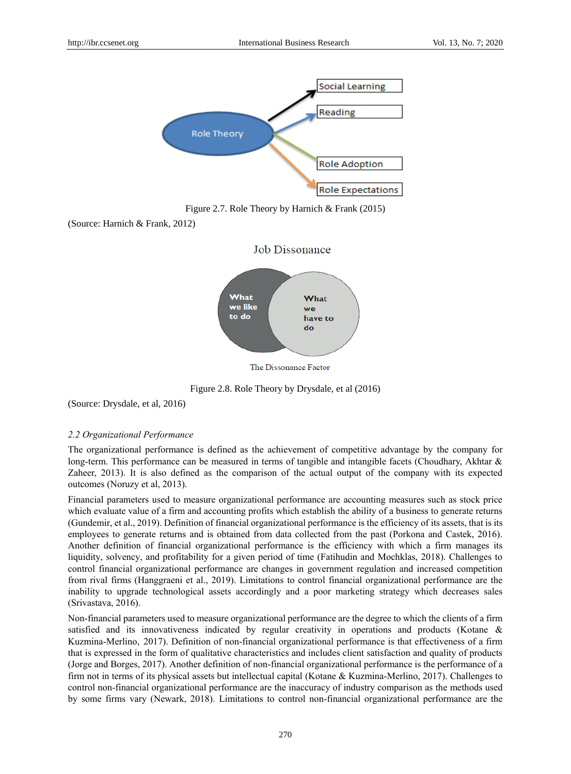

Figure 2.7. Role Theory by Harnich & Frank (2015)

(Source: Harnich & Frank, 2012)



Figure 2.8. Role Theory by Drysdale, et al (2016)

(Source: Drysdale, et al, 2016)

#### *2.2 Organizational Performance*

The organizational performance is defined as the achievement of competitive advantage by the company for long-term. This performance can be measured in terms of tangible and intangible facets (Choudhary, Akhtar & Zaheer, 2013). It is also defined as the comparison of the actual output of the company with its expected outcomes (Noruzy et al, 2013).

Financial parameters used to measure organizational performance are accounting measures such as stock price which evaluate value of a firm and accounting profits which establish the ability of a business to generate returns (Gundemir, et al., 2019). Definition of financial organizational performance is the efficiency of its assets, that is its employees to generate returns and is obtained from data collected from the past (Porkona and Castek, 2016). Another definition of financial organizational performance is the efficiency with which a firm manages its liquidity, solvency, and profitability for a given period of time (Fatihudin and Mochklas, 2018). Challenges to control financial organizational performance are changes in government regulation and increased competition from rival firms (Hanggraeni et al., 2019). Limitations to control financial organizational performance are the inability to upgrade technological assets accordingly and a poor marketing strategy which decreases sales (Srivastava, 2016).

Non-financial parameters used to measure organizational performance are the degree to which the clients of a firm satisfied and its innovativeness indicated by regular creativity in operations and products (Kotane & Kuzmina-Merlino, 2017). Definition of non-financial organizational performance is that effectiveness of a firm that is expressed in the form of qualitative characteristics and includes client satisfaction and quality of products (Jorge and Borges, 2017). Another definition of non-financial organizational performance is the performance of a firm not in terms of its physical assets but intellectual capital (Kotane & Kuzmina-Merlino, 2017). Challenges to control non-financial organizational performance are the inaccuracy of industry comparison as the methods used by some firms vary (Newark, 2018). Limitations to control non-financial organizational performance are the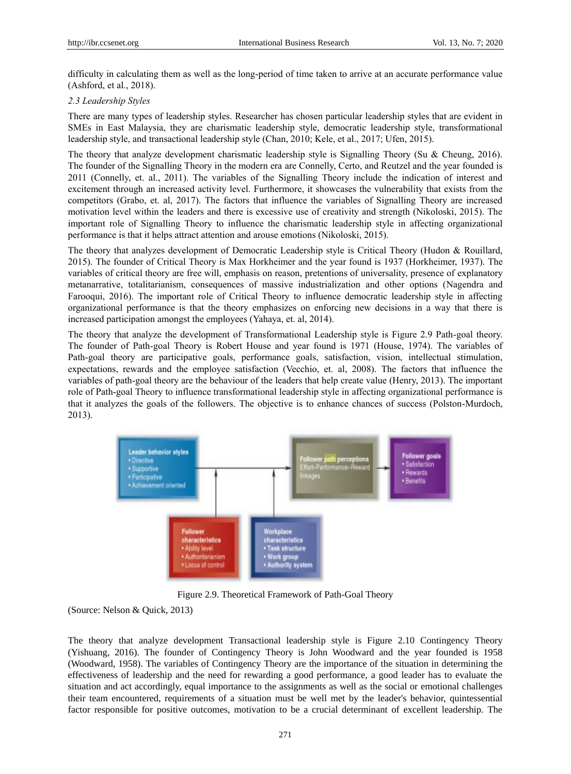difficulty in calculating them as well as the long-period of time taken to arrive at an accurate performance value (Ashford, et al., 2018).

## *2.3 Leadership Styles*

There are many types of leadership styles. Researcher has chosen particular leadership styles that are evident in SMEs in East Malaysia, they are charismatic leadership style, democratic leadership style, transformational leadership style, and transactional leadership style (Chan, 2010; Kele, et al., 2017; Ufen, 2015).

The theory that analyze development charismatic leadership style is Signalling Theory (Su & Cheung, 2016). The founder of the Signalling Theory in the modern era are Connelly, Certo, and Reutzel and the year founded is 2011 (Connelly, et. al., 2011). The variables of the Signalling Theory include the indication of interest and excitement through an increased activity level. Furthermore, it showcases the vulnerability that exists from the competitors (Grabo, et. al, 2017). The factors that influence the variables of Signalling Theory are increased motivation level within the leaders and there is excessive use of creativity and strength (Nikoloski, 2015). The important role of Signalling Theory to influence the charismatic leadership style in affecting organizational performance is that it helps attract attention and arouse emotions (Nikoloski, 2015).

The theory that analyzes development of Democratic Leadership style is Critical Theory (Hudon & Rouillard, 2015). The founder of Critical Theory is Max Horkheimer and the year found is 1937 (Horkheimer, 1937). The variables of critical theory are free will, emphasis on reason, pretentions of universality, presence of explanatory metanarrative, totalitarianism, consequences of massive industrialization and other options (Nagendra and Farooqui, 2016). The important role of Critical Theory to influence democratic leadership style in affecting organizational performance is that the theory emphasizes on enforcing new decisions in a way that there is increased participation amongst the employees (Yahaya, et. al, 2014).

The theory that analyze the development of Transformational Leadership style is Figure 2.9 Path-goal theory. The founder of Path-goal Theory is Robert House and year found is 1971 (House, 1974). The variables of Path-goal theory are participative goals, performance goals, satisfaction, vision, intellectual stimulation, expectations, rewards and the employee satisfaction (Vecchio, et. al, 2008). The factors that influence the variables of path-goal theory are the behaviour of the leaders that help create value (Henry, 2013). The important role of Path-goal Theory to influence transformational leadership style in affecting organizational performance is that it analyzes the goals of the followers. The objective is to enhance chances of success (Polston-Murdoch, 2013).



Figure 2.9. Theoretical Framework of Path-Goal Theory

(Source: Nelson & Quick, 2013)

The theory that analyze development Transactional leadership style is Figure 2.10 Contingency Theory (Yishuang, 2016). The founder of Contingency Theory is John Woodward and the year founded is 1958 (Woodward, 1958). The variables of Contingency Theory are the importance of the situation in determining the effectiveness of leadership and the need for rewarding a good performance, a good leader has to evaluate the situation and act accordingly, equal importance to the assignments as well as the social or emotional challenges their team encountered, requirements of a situation must be well met by the leader's behavior, quintessential factor responsible for positive outcomes, motivation to be a crucial determinant of excellent leadership. The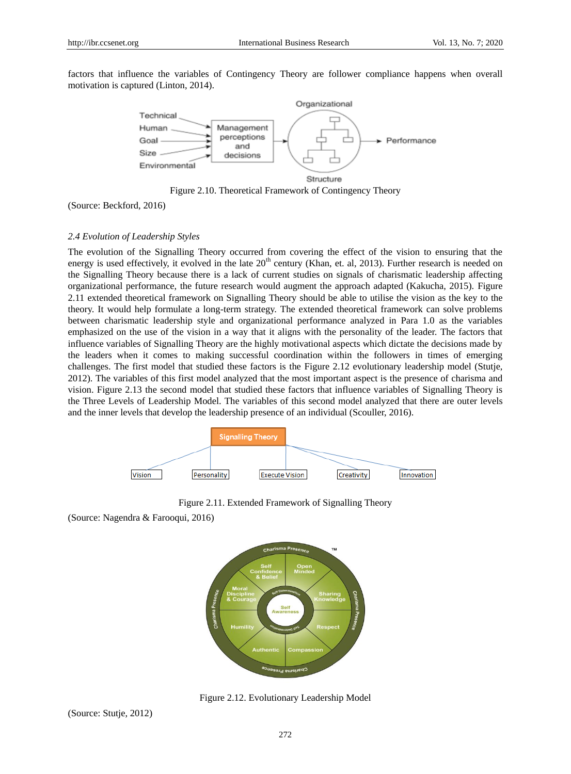factors that influence the variables of Contingency Theory are follower compliance happens when overall motivation is captured (Linton, 2014).



Figure 2.10. Theoretical Framework of Contingency Theory

(Source: Beckford, 2016)

## *2.4 Evolution of Leadership Styles*

The evolution of the Signalling Theory occurred from covering the effect of the vision to ensuring that the energy is used effectively, it evolved in the late  $20<sup>th</sup>$  century (Khan, et. al, 2013). Further research is needed on the Signalling Theory because there is a lack of current studies on signals of charismatic leadership affecting organizational performance, the future research would augment the approach adapted (Kakucha, 2015). Figure 2.11 extended theoretical framework on Signalling Theory should be able to utilise the vision as the key to the theory. It would help formulate a long-term strategy. The extended theoretical framework can solve problems between charismatic leadership style and organizational performance analyzed in Para 1.0 as the variables emphasized on the use of the vision in a way that it aligns with the personality of the leader. The factors that influence variables of Signalling Theory are the highly motivational aspects which dictate the decisions made by the leaders when it comes to making successful coordination within the followers in times of emerging challenges. The first model that studied these factors is the Figure 2.12 evolutionary leadership model (Stutje, 2012). The variables of this first model analyzed that the most important aspect is the presence of charisma and vision. Figure 2.13 the second model that studied these factors that influence variables of Signalling Theory is the Three Levels of Leadership Model. The variables of this second model analyzed that there are outer levels and the inner levels that develop the leadership presence of an individual (Scouller, 2016).



Figure 2.11. Extended Framework of Signalling Theory

(Source: Nagendra & Farooqui, 2016)



Figure 2.12. Evolutionary Leadership Model

(Source: Stutje, 2012)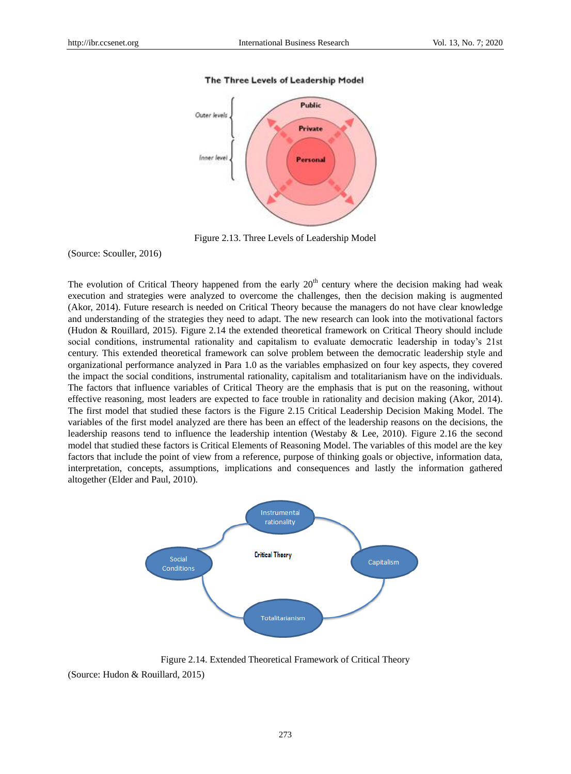#### The Three Levels of Leadership Model



Figure 2.13. Three Levels of Leadership Model

(Source: Scouller, 2016)

The evolution of Critical Theory happened from the early  $20<sup>th</sup>$  century where the decision making had weak execution and strategies were analyzed to overcome the challenges, then the decision making is augmented (Akor, 2014). Future research is needed on Critical Theory because the managers do not have clear knowledge and understanding of the strategies they need to adapt. The new research can look into the motivational factors (Hudon & Rouillard, 2015). Figure 2.14 the extended theoretical framework on Critical Theory should include social conditions, instrumental rationality and capitalism to evaluate democratic leadership in today's 21st century. This extended theoretical framework can solve problem between the democratic leadership style and organizational performance analyzed in Para 1.0 as the variables emphasized on four key aspects, they covered the impact the social conditions, instrumental rationality, capitalism and totalitarianism have on the individuals. The factors that influence variables of Critical Theory are the emphasis that is put on the reasoning, without effective reasoning, most leaders are expected to face trouble in rationality and decision making (Akor, 2014). The first model that studied these factors is the Figure 2.15 Critical Leadership Decision Making Model. The variables of the first model analyzed are there has been an effect of the leadership reasons on the decisions, the leadership reasons tend to influence the leadership intention (Westaby & Lee, 2010). Figure 2.16 the second model that studied these factors is Critical Elements of Reasoning Model. The variables of this model are the key factors that include the point of view from a reference, purpose of thinking goals or objective, information data, interpretation, concepts, assumptions, implications and consequences and lastly the information gathered altogether (Elder and Paul, 2010).



Figure 2.14. Extended Theoretical Framework of Critical Theory (Source: Hudon & Rouillard, 2015)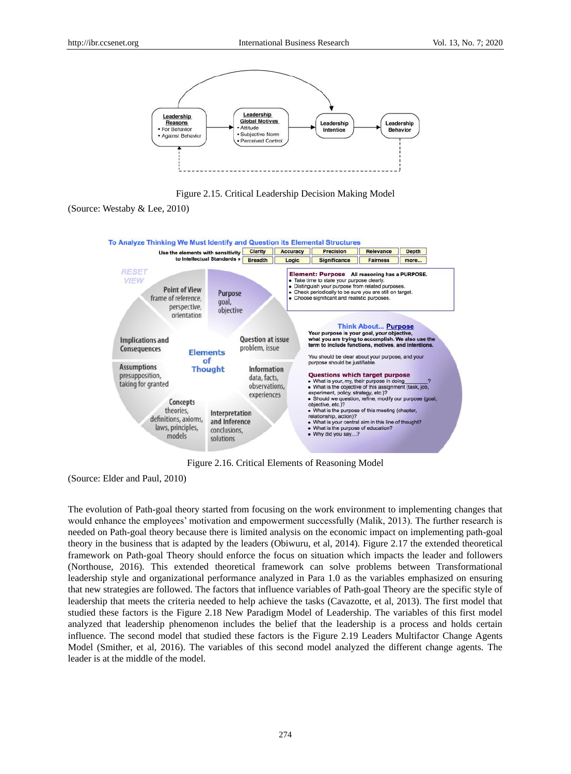

Figure 2.15. Critical Leadership Decision Making Model

<sup>(</sup>Source: Westaby & Lee, 2010)



Figure 2.16. Critical Elements of Reasoning Model

(Source: Elder and Paul, 2010)

The evolution of Path-goal theory started from focusing on the work environment to implementing changes that would enhance the employees' motivation and empowerment successfully (Malik, 2013). The further research is needed on Path-goal theory because there is limited analysis on the economic impact on implementing path-goal theory in the business that is adapted by the leaders (Obiwuru, et al, 2014). Figure 2.17 the extended theoretical framework on Path-goal Theory should enforce the focus on situation which impacts the leader and followers (Northouse, 2016). This extended theoretical framework can solve problems between Transformational leadership style and organizational performance analyzed in Para 1.0 as the variables emphasized on ensuring that new strategies are followed. The factors that influence variables of Path-goal Theory are the specific style of leadership that meets the criteria needed to help achieve the tasks (Cavazotte, et al, 2013). The first model that studied these factors is the Figure 2.18 New Paradigm Model of Leadership. The variables of this first model analyzed that leadership phenomenon includes the belief that the leadership is a process and holds certain influence. The second model that studied these factors is the Figure 2.19 Leaders Multifactor Change Agents Model (Smither, et al, 2016). The variables of this second model analyzed the different change agents. The leader is at the middle of the model.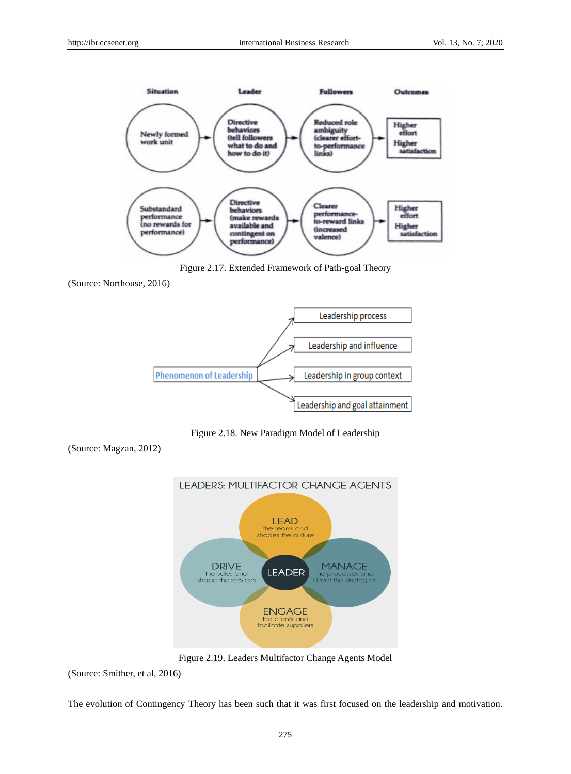

Figure 2.17. Extended Framework of Path-goal Theory

<sup>(</sup>Source: Northouse, 2016)



Figure 2.18. New Paradigm Model of Leadership

(Source: Magzan, 2012)



Figure 2.19. Leaders Multifactor Change Agents Model

(Source: Smither, et al, 2016)

The evolution of Contingency Theory has been such that it was first focused on the leadership and motivation.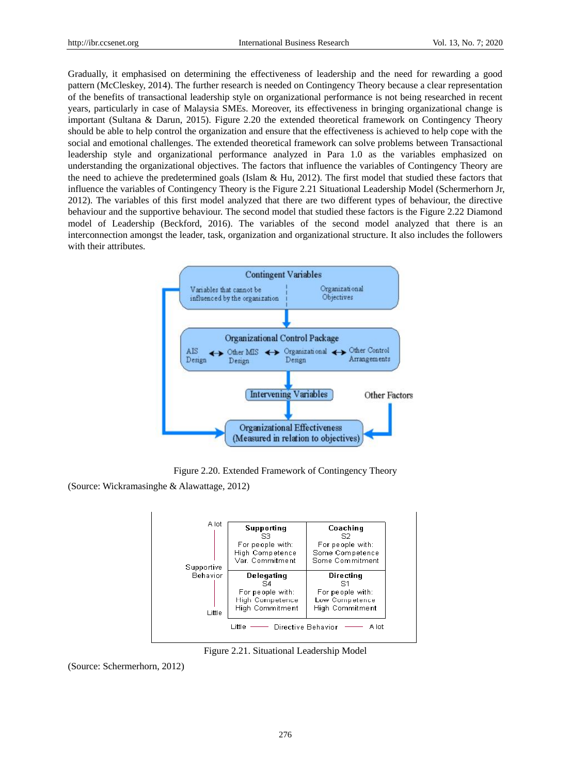Gradually, it emphasised on determining the effectiveness of leadership and the need for rewarding a good pattern (McCleskey, 2014). The further research is needed on Contingency Theory because a clear representation of the benefits of transactional leadership style on organizational performance is not being researched in recent years, particularly in case of Malaysia SMEs. Moreover, its effectiveness in bringing organizational change is important (Sultana & Darun, 2015). Figure 2.20 the extended theoretical framework on Contingency Theory should be able to help control the organization and ensure that the effectiveness is achieved to help cope with the social and emotional challenges. The extended theoretical framework can solve problems between Transactional leadership style and organizational performance analyzed in Para 1.0 as the variables emphasized on understanding the organizational objectives. The factors that influence the variables of Contingency Theory are the need to achieve the predetermined goals (Islam  $\&$  Hu, 2012). The first model that studied these factors that influence the variables of Contingency Theory is the Figure 2.21 Situational Leadership Model (Schermerhorn Jr, 2012). The variables of this first model analyzed that there are two different types of behaviour, the directive behaviour and the supportive behaviour. The second model that studied these factors is the Figure 2.22 Diamond model of Leadership (Beckford, 2016). The variables of the second model analyzed that there is an interconnection amongst the leader, task, organization and organizational structure. It also includes the followers with their attributes.



Figure 2.20. Extended Framework of Contingency Theory

(Source: Wickramasinghe & Alawattage, 2012)



Figure 2.21. Situational Leadership Model

(Source: Schermerhorn, 2012)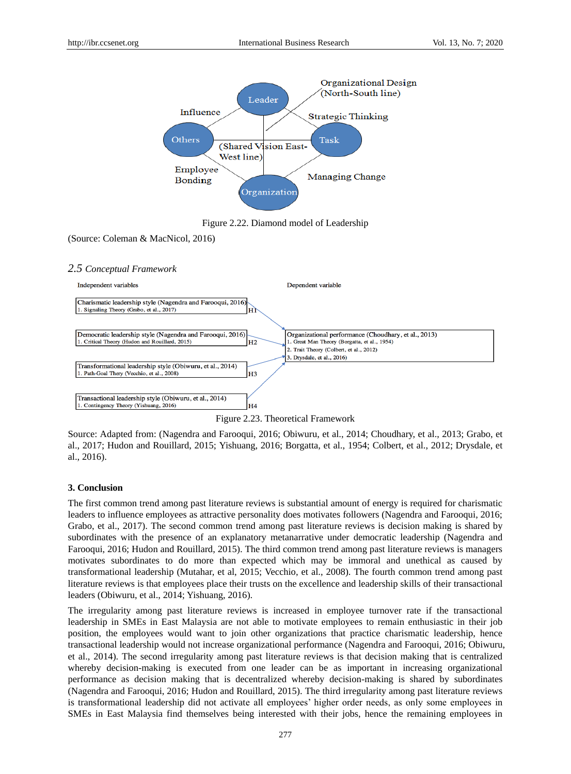

Figure 2.22. Diamond model of Leadership

(Source: Coleman & MacNicol, 2016)

## *2.5 Conceptual Framework*



Figure 2.23. Theoretical Framework

Source: Adapted from: (Nagendra and Farooqui, 2016; Obiwuru, et al., 2014; Choudhary, et al., 2013; Grabo, et al., 2017; Hudon and Rouillard, 2015; Yishuang, 2016; Borgatta, et al., 1954; Colbert, et al., 2012; Drysdale, et al., 2016).

## **3. Conclusion**

The first common trend among past literature reviews is substantial amount of energy is required for charismatic leaders to influence employees as attractive personality does motivates followers (Nagendra and Farooqui, 2016; Grabo, et al., 2017). The second common trend among past literature reviews is decision making is shared by subordinates with the presence of an explanatory metanarrative under democratic leadership (Nagendra and Farooqui, 2016; Hudon and Rouillard, 2015). The third common trend among past literature reviews is managers motivates subordinates to do more than expected which may be immoral and unethical as caused by transformational leadership (Mutahar, et al, 2015; Vecchio, et al., 2008). The fourth common trend among past literature reviews is that employees place their trusts on the excellence and leadership skills of their transactional leaders (Obiwuru, et al., 2014; Yishuang, 2016).

The irregularity among past literature reviews is increased in employee turnover rate if the transactional leadership in SMEs in East Malaysia are not able to motivate employees to remain enthusiastic in their job position, the employees would want to join other organizations that practice charismatic leadership, hence transactional leadership would not increase organizational performance (Nagendra and Farooqui, 2016; Obiwuru, et al., 2014). The second irregularity among past literature reviews is that decision making that is centralized whereby decision-making is executed from one leader can be as important in increasing organizational performance as decision making that is decentralized whereby decision-making is shared by subordinates (Nagendra and Farooqui, 2016; Hudon and Rouillard, 2015). The third irregularity among past literature reviews is transformational leadership did not activate all employees' higher order needs, as only some employees in SMEs in East Malaysia find themselves being interested with their jobs, hence the remaining employees in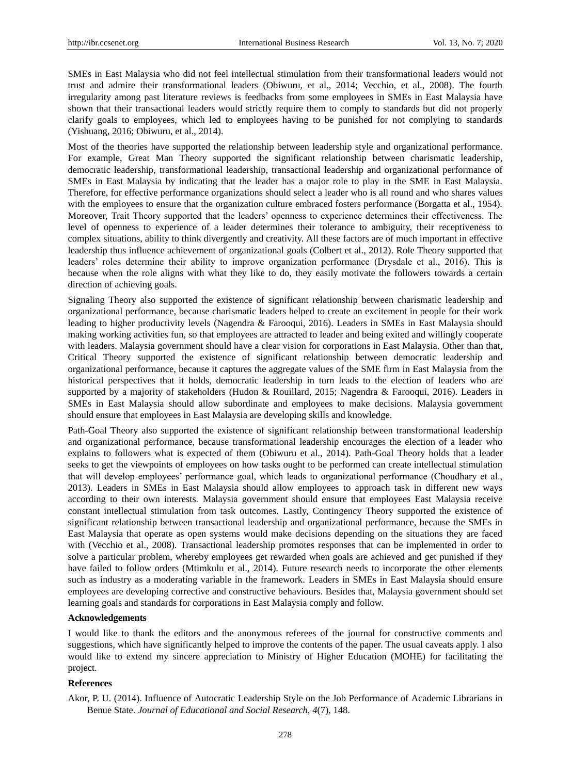SMEs in East Malaysia who did not feel intellectual stimulation from their transformational leaders would not trust and admire their transformational leaders (Obiwuru, et al., 2014; Vecchio, et al., 2008). The fourth irregularity among past literature reviews is feedbacks from some employees in SMEs in East Malaysia have shown that their transactional leaders would strictly require them to comply to standards but did not properly clarify goals to employees, which led to employees having to be punished for not complying to standards (Yishuang, 2016; Obiwuru, et al., 2014).

Most of the theories have supported the relationship between leadership style and organizational performance. For example, Great Man Theory supported the significant relationship between charismatic leadership, democratic leadership, transformational leadership, transactional leadership and organizational performance of SMEs in East Malaysia by indicating that the leader has a major role to play in the SME in East Malaysia. Therefore, for effective performance organizations should select a leader who is all round and who shares values with the employees to ensure that the organization culture embraced fosters performance (Borgatta et al., 1954). Moreover, Trait Theory supported that the leaders' openness to experience determines their effectiveness. The level of openness to experience of a leader determines their tolerance to ambiguity, their receptiveness to complex situations, ability to think divergently and creativity. All these factors are of much important in effective leadership thus influence achievement of organizational goals (Colbert et al., 2012). Role Theory supported that leaders' roles determine their ability to improve organization performance (Drysdale et al., 2016). This is because when the role aligns with what they like to do, they easily motivate the followers towards a certain direction of achieving goals.

Signaling Theory also supported the existence of significant relationship between charismatic leadership and organizational performance, because charismatic leaders helped to create an excitement in people for their work leading to higher productivity levels (Nagendra & Farooqui, 2016). Leaders in SMEs in East Malaysia should making working activities fun, so that employees are attracted to leader and being exited and willingly cooperate with leaders. Malaysia government should have a clear vision for corporations in East Malaysia. Other than that, Critical Theory supported the existence of significant relationship between democratic leadership and organizational performance, because it captures the aggregate values of the SME firm in East Malaysia from the historical perspectives that it holds, democratic leadership in turn leads to the election of leaders who are supported by a majority of stakeholders (Hudon & Rouillard, 2015; Nagendra & Farooqui, 2016). Leaders in SMEs in East Malaysia should allow subordinate and employees to make decisions. Malaysia government should ensure that employees in East Malaysia are developing skills and knowledge.

Path-Goal Theory also supported the existence of significant relationship between transformational leadership and organizational performance, because transformational leadership encourages the election of a leader who explains to followers what is expected of them (Obiwuru et al., 2014). Path-Goal Theory holds that a leader seeks to get the viewpoints of employees on how tasks ought to be performed can create intellectual stimulation that will develop employees' performance goal, which leads to organizational performance (Choudhary et al., 2013). Leaders in SMEs in East Malaysia should allow employees to approach task in different new ways according to their own interests. Malaysia government should ensure that employees East Malaysia receive constant intellectual stimulation from task outcomes. Lastly, Contingency Theory supported the existence of significant relationship between transactional leadership and organizational performance, because the SMEs in East Malaysia that operate as open systems would make decisions depending on the situations they are faced with (Vecchio et al., 2008). Transactional leadership promotes responses that can be implemented in order to solve a particular problem, whereby employees get rewarded when goals are achieved and get punished if they have failed to follow orders (Mtimkulu et al., 2014). Future research needs to incorporate the other elements such as industry as a moderating variable in the framework. Leaders in SMEs in East Malaysia should ensure employees are developing corrective and constructive behaviours. Besides that, Malaysia government should set learning goals and standards for corporations in East Malaysia comply and follow.

#### **Acknowledgements**

I would like to thank the editors and the anonymous referees of the journal for constructive comments and suggestions, which have significantly helped to improve the contents of the paper. The usual caveats apply. I also would like to extend my sincere appreciation to Ministry of Higher Education (MOHE) for facilitating the project.

## **References**

Akor, P. U. (2014). Influence of Autocratic Leadership Style on the Job Performance of Academic Librarians in Benue State. *Journal of Educational and Social Research, 4*(7), 148.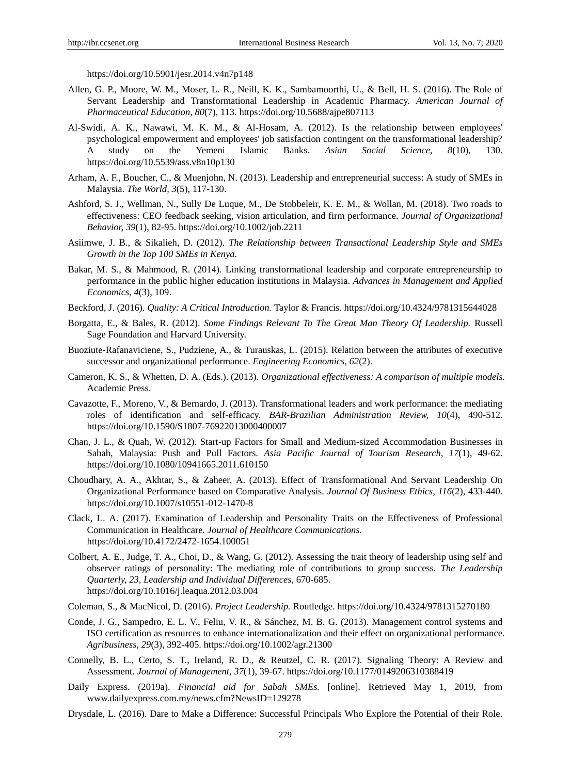https://doi.org/10.5901/jesr.2014.v4n7p148

- Allen, G. P., Moore, W. M., Moser, L. R., Neill, K. K., Sambamoorthi, U., & Bell, H. S. (2016). The Role of Servant Leadership and Transformational Leadership in Academic Pharmacy. *American Journal of Pharmaceutical Education, 80*(7), 113. https://doi.org/10.5688/ajpe807113
- Al-Swidi, A. K., Nawawi, M. K. M., & Al-Hosam, A. (2012). Is the relationship between employees' psychological empowerment and employees' job satisfaction contingent on the transformational leadership? A study on the Yemeni Islamic Banks. *Asian Social Science, 8*(10), 130. https://doi.org/10.5539/ass.v8n10p130
- Arham, A. F., Boucher, C., & Muenjohn, N. (2013). Leadership and entrepreneurial success: A study of SMEs in Malaysia. *The World, 3*(5), 117-130.
- Ashford, S. J., Wellman, N., Sully De Luque, M., De Stobbeleir, K. E. M., & Wollan, M. (2018). Two roads to effectiveness: CEO feedback seeking, vision articulation, and firm performance. *Journal of Organizational Behavior, 39*(1), 82-95. https://doi.org/10.1002/job.2211
- Asiimwe, J. B., & Sikalieh, D. (2012). *The Relationship between Transactional Leadership Style and SMEs Growth in the Top 100 SMEs in Kenya.*
- Bakar, M. S., & Mahmood, R. (2014). Linking transformational leadership and corporate entrepreneurship to performance in the public higher education institutions in Malaysia. *Advances in Management and Applied Economics, 4*(3), 109.
- Beckford, J. (2016). *Quality: A Critical Introduction.* Taylor & Francis. https://doi.org/10.4324/9781315644028
- Borgatta, E., & Bales, R. (2012). *Some Findings Relevant To The Great Man Theory Of Leadership.* Russell Sage Foundation and Harvard University.
- Buoziute-Rafanaviciene, S., Pudziene, A., & Turauskas, L. (2015). Relation between the attributes of executive successor and organizational performance. *Engineering Economics, 62*(2).
- Cameron, K. S., & Whetten, D. A. (Eds.). (2013). *Organizational effectiveness: A comparison of multiple models.*  Academic Press.
- Cavazotte, F., Moreno, V., & Bernardo, J. (2013). Transformational leaders and work performance: the mediating roles of identification and self-efficacy. *BAR-Brazilian Administration Review, 10*(4), 490-512. https://doi.org/10.1590/S1807-76922013000400007
- Chan, J. L., & Quah, W. (2012). Start-up Factors for Small and Medium-sized Accommodation Businesses in Sabah, Malaysia: Push and Pull Factors. *Asia Pacific Journal of Tourism Research, 17*(1), 49-62. https://doi.org/10.1080/10941665.2011.610150
- Choudhary, A. A., Akhtar, S., & Zaheer, A. (2013). Effect of Transformational And Servant Leadership On Organizational Performance based on Comparative Analysis. *Journal Of Business Ethics, 116*(2), 433-440. https://doi.org/10.1007/s10551-012-1470-8
- Clack, L. A. (2017). Examination of Leadership and Personality Traits on the Effectiveness of Professional Communication in Healthcare. *Journal of Healthcare Communications.*  https://doi.org/10.4172/2472-1654.100051
- Colbert, A. E., Judge, T. A., Choi, D., & Wang, G. (2012). Assessing the trait theory of leadership using self and observer ratings of personality: The mediating role of contributions to group success. *The Leadership Quarterly, 23, Leadership and Individual Differences,* 670-685. https://doi.org/10.1016/j.leaqua.2012.03.004
- Coleman, S., & MacNicol, D. (2016). *Project Leadership.* Routledge. https://doi.org/10.4324/9781315270180
- Conde, J. G., Sampedro, E. L. V., Feliu, V. R., & Sánchez, M. B. G. (2013). Management control systems and ISO certification as resources to enhance internationalization and their effect on organizational performance. *Agribusiness, 29*(3), 392-405. https://doi.org/10.1002/agr.21300
- Connelly, B. L., Certo, S. T., Ireland, R. D., & Reutzel, C. R. (2017). Signaling Theory: A Review and Assessment. *Journal of Management, 37*(1), 39-67. https://doi.org/10.1177/0149206310388419
- Daily Express. (2019a). *Financial aid for Sabah SMEs.* [online]. Retrieved May 1, 2019, from www.dailyexpress.com.my/news.cfm?NewsID=129278
- Drysdale, L. (2016). Dare to Make a Difference: Successful Principals Who Explore the Potential of their Role.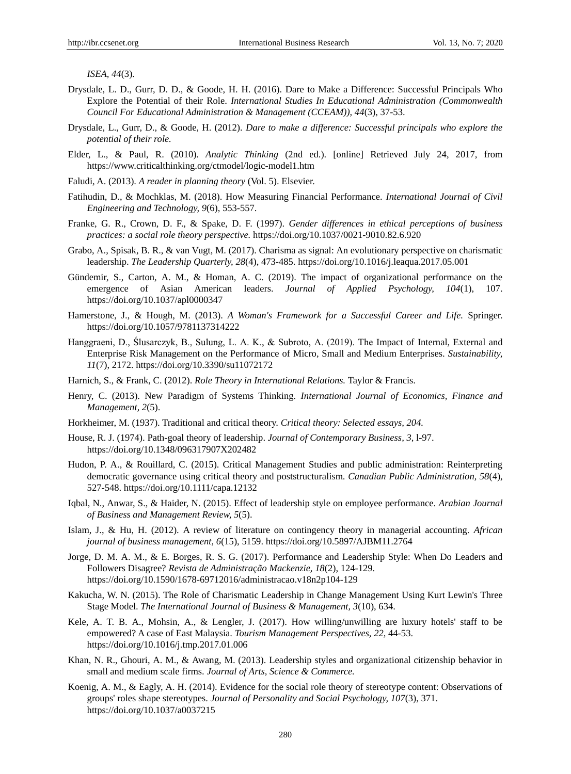*ISEA, 44*(3).

- Drysdale, L. D., Gurr, D. D., & Goode, H. H. (2016). Dare to Make a Difference: Successful Principals Who Explore the Potential of their Role. *International Studies In Educational Administration (Commonwealth Council For Educational Administration & Management (CCEAM)), 44*(3), 37-53.
- Drysdale, L., Gurr, D., & Goode, H. (2012). *Dare to make a difference: Successful principals who explore the potential of their role.*
- Elder, L., & Paul, R. (2010). *Analytic Thinking* (2nd ed.). [online] Retrieved July 24, 2017, from https://www.criticalthinking.org/ctmodel/logic-model1.htm
- Faludi, A. (2013). *A reader in planning theory* (Vol. 5). Elsevier.
- Fatihudin, D., & Mochklas, M. (2018). How Measuring Financial Performance. *International Journal of Civil Engineering and Technology, 9*(6), 553-557.
- Franke, G. R., Crown, D. F., & Spake, D. F. (1997). *Gender differences in ethical perceptions of business practices: a social role theory perspective.* https://doi.org/10.1037/0021-9010.82.6.920
- Grabo, A., Spisak, B. R., & van Vugt, M. (2017). Charisma as signal: An evolutionary perspective on charismatic leadership. *The Leadership Quarterly, 28*(4), 473-485. https://doi.org/10.1016/j.leaqua.2017.05.001
- Gündemir, S., Carton, A. M., & Homan, A. C. (2019). The impact of organizational performance on the emergence of Asian American leaders. *Journal of Applied Psychology*, 104(1), https://doi.org/10.1037/apl0000347
- Hamerstone, J., & Hough, M. (2013). *A Woman's Framework for a Successful Career and Life.* Springer. https://doi.org/10.1057/9781137314222
- Hanggraeni, D., Ślusarczyk, B., Sulung, L. A. K., & Subroto, A. (2019). The Impact of Internal, External and Enterprise Risk Management on the Performance of Micro, Small and Medium Enterprises. *Sustainability, 11*(7), 2172. https://doi.org/10.3390/su11072172
- Harnich, S., & Frank, C. (2012). *Role Theory in International Relations.* Taylor & Francis.
- Henry, C. (2013). New Paradigm of Systems Thinking. *International Journal of Economics, Finance and Management, 2*(5).
- Horkheimer, M. (1937). Traditional and critical theory. *Critical theory: Selected essays, 204.*
- House, R. J. (1974). Path-goal theory of leadership. *Journal of Contemporary Business, 3,* l-97. https://doi.org/10.1348/096317907X202482
- Hudon, P. A., & Rouillard, C. (2015). Critical Management Studies and public administration: Reinterpreting democratic governance using critical theory and poststructuralism. *Canadian Public Administration, 58*(4), 527-548. https://doi.org/10.1111/capa.12132
- Iqbal, N., Anwar, S., & Haider, N. (2015). Effect of leadership style on employee performance. *Arabian Journal of Business and Management Review, 5*(5).
- Islam, J., & Hu, H. (2012). A review of literature on contingency theory in managerial accounting. *African journal of business management, 6*(15), 5159. https://doi.org/10.5897/AJBM11.2764
- Jorge, D. M. A. M., & E. Borges, R. S. G. (2017). Performance and Leadership Style: When Do Leaders and Followers Disagree? *Revista de Administração Mackenzie, 18*(2), 124-129. https://doi.org/10.1590/1678-69712016/administracao.v18n2p104-129
- Kakucha, W. N. (2015). The Role of Charismatic Leadership in Change Management Using Kurt Lewin's Three Stage Model. *The International Journal of Business & Management, 3*(10), 634.
- Kele, A. T. B. A., Mohsin, A., & Lengler, J. (2017). How willing/unwilling are luxury hotels' staff to be empowered? A case of East Malaysia. *Tourism Management Perspectives, 22,* 44-53. https://doi.org/10.1016/j.tmp.2017.01.006
- Khan, N. R., Ghouri, A. M., & Awang, M. (2013). Leadership styles and organizational citizenship behavior in small and medium scale firms. *Journal of Arts, Science & Commerce.*
- Koenig, A. M., & Eagly, A. H. (2014). Evidence for the social role theory of stereotype content: Observations of groups' roles shape stereotypes. *Journal of Personality and Social Psychology, 107*(3), 371. https://doi.org/10.1037/a0037215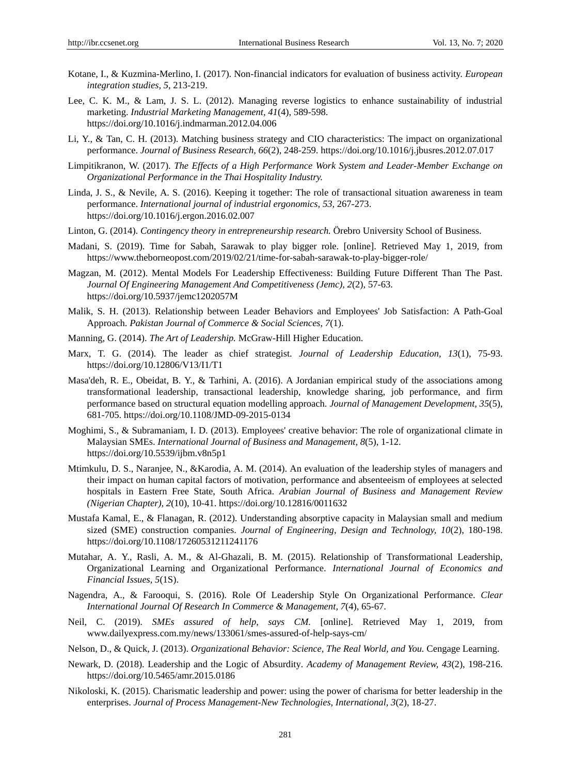- Kotane, I., & Kuzmina-Merlino, I. (2017). Non-financial indicators for evaluation of business activity. *European integration studies, 5,* 213-219.
- Lee, C. K. M., & Lam, J. S. L. (2012). Managing reverse logistics to enhance sustainability of industrial marketing. *Industrial Marketing Management, 41*(4), 589-598. https://doi.org/10.1016/j.indmarman.2012.04.006
- Li, Y., & Tan, C. H. (2013). Matching business strategy and CIO characteristics: The impact on organizational performance. *Journal of Business Research, 66*(2), 248-259. https://doi.org/10.1016/j.jbusres.2012.07.017
- Limpitikranon, W. (2017). *The Effects of a High Performance Work System and Leader-Member Exchange on Organizational Performance in the Thai Hospitality Industry.*
- Linda, J. S., & Nevile, A. S. (2016). Keeping it together: The role of transactional situation awareness in team performance. *International journal of industrial ergonomics, 53,* 267-273. https://doi.org/10.1016/j.ergon.2016.02.007
- Linton, G. (2014). *Contingency theory in entrepreneurship research.* Örebro University School of Business.
- Madani, S. (2019). Time for Sabah, Sarawak to play bigger role. [online]. Retrieved May 1, 2019, from https://www.theborneopost.com/2019/02/21/time-for-sabah-sarawak-to-play-bigger-role/
- Magzan, M. (2012). Mental Models For Leadership Effectiveness: Building Future Different Than The Past. *Journal Of Engineering Management And Competitiveness (Jemc), 2*(2), 57-63. https://doi.org/10.5937/jemc1202057M
- Malik, S. H. (2013). Relationship between Leader Behaviors and Employees' Job Satisfaction: A Path-Goal Approach. *Pakistan Journal of Commerce & Social Sciences, 7*(1).
- Manning, G. (2014). *The Art of Leadership.* McGraw-Hill Higher Education.
- Marx, T. G. (2014). The leader as chief strategist. *Journal of Leadership Education, 13*(1), 75-93. https://doi.org/10.12806/V13/I1/T1
- Masa'deh, R. E., Obeidat, B. Y., & Tarhini, A. (2016). A Jordanian empirical study of the associations among transformational leadership, transactional leadership, knowledge sharing, job performance, and firm performance based on structural equation modelling approach. *Journal of Management Development, 35*(5), 681-705. https://doi.org/10.1108/JMD-09-2015-0134
- Moghimi, S., & Subramaniam, I. D. (2013). Employees' creative behavior: The role of organizational climate in Malaysian SMEs. *International Journal of Business and Management, 8*(5), 1-12. https://doi.org/10.5539/ijbm.v8n5p1
- Mtimkulu, D. S., Naranjee, N., &Karodia, A. M. (2014). An evaluation of the leadership styles of managers and their impact on human capital factors of motivation, performance and absenteeism of employees at selected hospitals in Eastern Free State, South Africa. *Arabian Journal of Business and Management Review (Nigerian Chapter), 2*(10), 10-41. https://doi.org/10.12816/0011632
- Mustafa Kamal, E., & Flanagan, R. (2012). Understanding absorptive capacity in Malaysian small and medium sized (SME) construction companies. *Journal of Engineering, Design and Technology, 10*(2), 180-198. https://doi.org/10.1108/17260531211241176
- Mutahar, A. Y., Rasli, A. M., & Al-Ghazali, B. M. (2015). Relationship of Transformational Leadership, Organizational Learning and Organizational Performance. *International Journal of Economics and Financial Issues, 5*(1S).
- Nagendra, A., & Farooqui, S. (2016). Role Of Leadership Style On Organizational Performance. *Clear International Journal Of Research In Commerce & Management, 7*(4), 65-67.
- Neil, C. (2019). *SMEs assured of help, says CM.* [online]. Retrieved May 1, 2019, from www.dailyexpress.com.my/news/133061/smes-assured-of-help-says-cm/
- Nelson, D., & Quick, J. (2013). *Organizational Behavior: Science, The Real World, and You.* Cengage Learning.
- Newark, D. (2018). Leadership and the Logic of Absurdity*. Academy of Management Review, 43*(2), 198-216. https://doi.org/10.5465/amr.2015.0186
- Nikoloski, K. (2015). Charismatic leadership and power: using the power of charisma for better leadership in the enterprises. *Journal of Process Management-New Technologies, International, 3*(2), 18-27.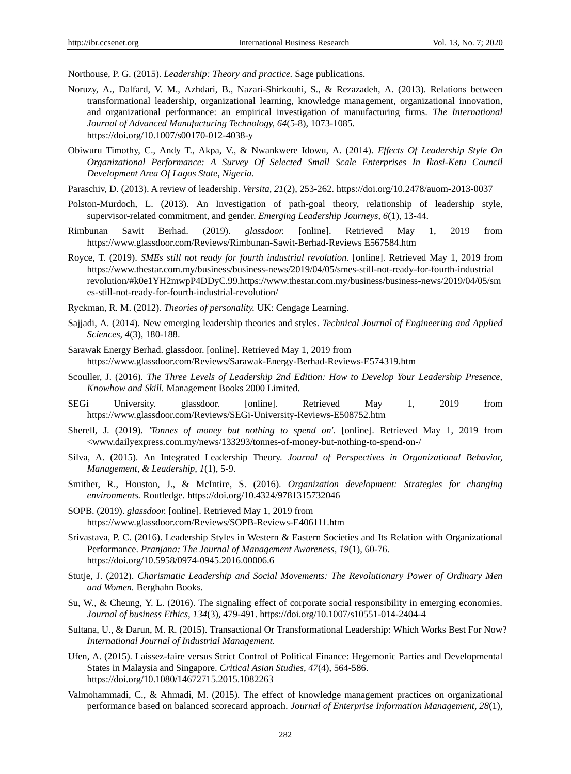Northouse, P. G. (2015). *Leadership: Theory and practice.* Sage publications.

- Noruzy, A., Dalfard, V. M., Azhdari, B., Nazari-Shirkouhi, S., & Rezazadeh, A. (2013). Relations between transformational leadership, organizational learning, knowledge management, organizational innovation, and organizational performance: an empirical investigation of manufacturing firms. *The International Journal of Advanced Manufacturing Technology, 64*(5-8), 1073-1085. https://doi.org/10.1007/s00170-012-4038-y
- Obiwuru Timothy, C., Andy T., Akpa, V., & Nwankwere Idowu, A. (2014). *Effects Of Leadership Style On Organizational Performance: A Survey Of Selected Small Scale Enterprises In Ikosi-Ketu Council Development Area Of Lagos State, Nigeria.*
- Paraschiv, D. (2013). A review of leadership. *Versita, 21*(2), 253-262. https://doi.org/10.2478/auom-2013-0037
- Polston-Murdoch, L. (2013). An Investigation of path-goal theory, relationship of leadership style, supervisor-related commitment, and gender. *Emerging Leadership Journeys, 6*(1), 13-44.
- Rimbunan Sawit Berhad. (2019). *glassdoor.* [online]. Retrieved May 1, 2019 from https://www.glassdoor.com/Reviews/Rimbunan-Sawit-Berhad-Reviews E567584.htm
- Royce, T. (2019). *SMEs still not ready for fourth industrial revolution.* [online]. Retrieved May 1, 2019 from https://www.thestar.com.my/business/business-news/2019/04/05/smes-still-not-ready-for-fourth-industrial revolution/#k0e1YH2mwpP4DDyC.99.https://www.thestar.com.my/business/business-news/2019/04/05/sm es-still-not-ready-for-fourth-industrial-revolution/
- Ryckman, R. M. (2012). *Theories of personality.* UK: Cengage Learning.
- Sajjadi, A. (2014). New emerging leadership theories and styles. *Technical Journal of Engineering and Applied Sciences, 4*(3), 180-188.
- Sarawak Energy Berhad. glassdoor. [online]. Retrieved May 1, 2019 from https://www.glassdoor.com/Reviews/Sarawak-Energy-Berhad-Reviews-E574319.htm
- Scouller, J. (2016). *The Three Levels of Leadership 2nd Edition: How to Develop Your Leadership Presence, Knowhow and Skill.* Management Books 2000 Limited.
- SEGi University. glassdoor. [online]. Retrieved May 1, 2019 from https://www.glassdoor.com/Reviews/SEGi-University-Reviews-E508752.htm
- Sherell, J. (2019). *'Tonnes of money but nothing to spend on'.* [online]. Retrieved May 1, 2019 from <www.dailyexpress.com.my/news/133293/tonnes-of-money-but-nothing-to-spend-on-/
- Silva, A. (2015). An Integrated Leadership Theory. *Journal of Perspectives in Organizational Behavior, Management, & Leadership, 1*(1), 5-9.
- Smither, R., Houston, J., & McIntire, S. (2016). *Organization development: Strategies for changing environments.* Routledge. https://doi.org/10.4324/9781315732046
- SOPB. (2019). *glassdoor.* [online]. Retrieved May 1, 2019 from https://www.glassdoor.com/Reviews/SOPB-Reviews-E406111.htm
- Srivastava, P. C. (2016). Leadership Styles in Western & Eastern Societies and Its Relation with Organizational Performance. *Pranjana: The Journal of Management Awareness, 19*(1), 60-76. https://doi.org/10.5958/0974-0945.2016.00006.6
- Stutje, J. (2012). *Charismatic Leadership and Social Movements: The Revolutionary Power of Ordinary Men and Women.* Berghahn Books.
- Su, W., & Cheung, Y. L. (2016). The signaling effect of corporate social responsibility in emerging economies. *Journal of business Ethics, 134*(3), 479-491. https://doi.org/10.1007/s10551-014-2404-4
- Sultana, U., & Darun, M. R. (2015). Transactional Or Transformational Leadership: Which Works Best For Now? *International Journal of Industrial Management.*
- Ufen, A. (2015). Laissez-faire versus Strict Control of Political Finance: Hegemonic Parties and Developmental States in Malaysia and Singapore. *Critical Asian Studies, 47*(4), 564-586. https://doi.org/10.1080/14672715.2015.1082263
- Valmohammadi, C., & Ahmadi, M. (2015). The effect of knowledge management practices on organizational performance based on balanced scorecard approach. *Journal of Enterprise Information Management, 28*(1),